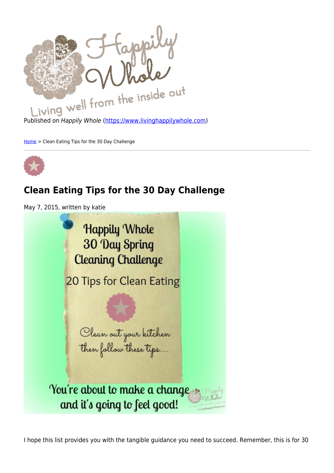

Published on Happily Whole [\(https://www.livinghappilywhole.com\)](https://www.livinghappilywhole.com)

[Home](https://www.livinghappilywhole.com/) > Clean Eating Tips for the 30 Day Challenge



## **Clean Eating Tips for the 30 Day Challenge**

May 7, 2015, written by katie

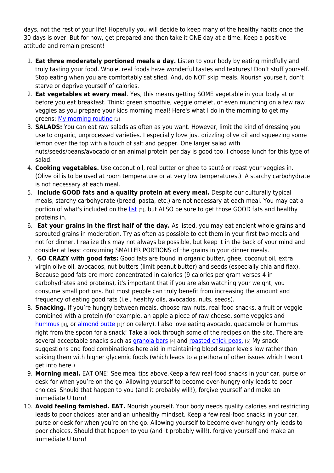days, not the rest of your life! Hopefully you will decide to keep many of the healthy habits once the 30 days is over. But for now, get prepared and then take it ONE day at a time. Keep a positive attitude and remain present!

- 1. **Eat three moderately portioned meals a day.** Listen to your body by eating mindfully and truly tasting your food. Whole, real foods have wonderful tastes and textures! Don't stuff yourself. Stop eating when you are comfortably satisfied. And, do NOT skip meals. Nourish yourself, don't starve or deprive yourself of calories.
- 2. **Eat vegetables at every meal**. Yes, this means getting SOME vegetable in your body at or before you eat breakfast. Think: green smoothie, veggie omelet, or even munching on a few raw veggies as you prepare your kids morning meal! Here's what I do in the morning to get my greens: [My morning routine](https://www.livinghappilywhole.com/content/my-healthy-eating-morning-routine-how-make-easy-almond-butter) [1]
- 3. **SALADS:** You can eat raw salads as often as you want. However, limit the kind of dressing you use to organic, unprocessed varieties. I especially love just drizzling olive oil and squeezing some lemon over the top with a touch of salt and pepper. One larger salad with nuts/seeds/beans/avocado or an animal protein per day is good too. I choose lunch for this type of salad.
- 4. **Cooking vegetables.** Use coconut oil, real butter or ghee to sauté or roast your veggies in. (Olive oil is to be used at room temperature or at very low temperatures.) A starchy carbohydrate is not necessary at each meal.
- 5. **Include GOOD fats and a quality protein at every meal.** Despite our culturally typical meals, starchy carbohydrate (bread, pasta, etc.) are not necessary at each meal. You may eat a portion of what's included on the [list](https://www.livinghappilywhole.com/articles/eating-well-articles/30-day-spring-cleaning-food-lists) [2], but ALSO be sure to get those GOOD fats and healthy proteins in.
- 6. **Eat your grains in the first half of the day.** As listed, you may eat ancient whole grains and sprouted grains in moderation. Try as often as possible to eat them in your first two meals and not for dinner. I realize this may not always be possible, but keep it in the back of your mind and consider at least consuming SMALLER PORTIONS of the grains in your dinner meals.
- 7. **GO CRAZY with good fats:** Good fats are found in organic butter, ghee, coconut oil, extra virgin olive oil, avocados, nut butters (limit peanut butter) and seeds (especially chia and flax). Because good fats are more concentrated in calories (9 calories per gram verses 4 in carbohydrates and proteins), it's important that if you are also watching your weight, you consume small portions. But most people can truly benefit from increasing the amount and frequency of eating good fats (i.e., healthy oils, avocados, nuts, seeds).
- 8. **Snacking.** If you're hungry between meals, choose raw nuts, real food snacks, a fruit or veggie combined with a protein (for example, an apple a piece of raw cheese, some veggies and [hummus](https://www.livinghappilywhole.com/content/traditional-homemade-hummus) [3], or [almond butte](https://www.livinghappilywhole.com/content/my-healthy-eating-morning-routine-how-make-easy-almond-butter) [1]r on celery). I also love eating avocado, quacamole or hummus right from the spoon for a snack! Take a look through some of the recipes on the site. There are several acceptable snacks such as [granola bars](https://www.livinghappilywhole.com/content/homemade-granola-bars-gluten-free-and-great) [4] and [roasted chick peas.](https://www.livinghappilywhole.com/content/change-world-chickpeas-simple-savory-snack) [5] My snack suggestions and food combinations here aid in maintaining blood sugar levels low rather than spiking them with higher glycemic foods (which leads to a plethora of other issues which I won't get into here.)
- 9. **Morning meal.** EAT ONE! See meal tips above.Keep a few real-food snacks in your car, purse or desk for when you're on the go. Allowing yourself to become over-hungry only leads to poor choices. Should that happen to you (and it probably will!), forgive yourself and make an immediate U turn!
- 10. **Avoid feeling famished. EAT.** Nourish yourself. Your body needs quality calories and restricting leads to poor choices later and an unhealthy mindset. Keep a few real-food snacks in your car, purse or desk for when you're on the go. Allowing yourself to become over-hungry only leads to poor choices. Should that happen to you (and it probably will!), forgive yourself and make an immediate U turn!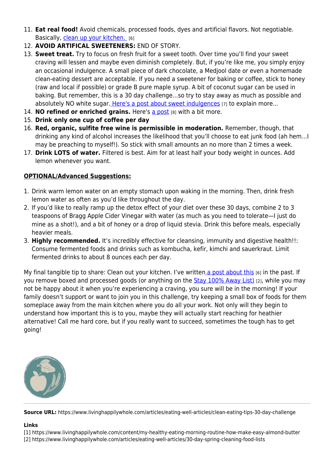- 11. **Eat real food!** Avoid chemicals, processed foods, dyes and artificial flavors. Not negotiable. Basically, [clean up your kitchen.](https://www.livinghappilywhole.com/content/kitchen-clean) [6]
- 12. **AVOID ARTIFICAL SWEETENERS:** END OF STORY.
- 13. **Sweet treat.** Try to focus on fresh fruit for a sweet tooth. Over time you'll find your sweet craving will lessen and maybe even diminish completely. But, if you're like me, you simply enjoy an occasional indulgence. A small piece of dark chocolate, a Medjool date or even a homemade clean-eating dessert are acceptable. If you need a sweetener for baking or coffee, stick to honey (raw and local if possible) or grade B pure maple syrup. A bit of coconut sugar can be used in baking. But remember, this is a 30 day challenge…so try to stay away as much as possible and absolutely NO white sugar. [Here's a post about sweet indulgences](https://www.livinghappilywhole.com/articles/eating-well-articles/setting-yourself-success-and-my-sweet-little-secret) [7] to explain more...
- 14. **NO refined or enriched grains.** Here's [a post](https://www.livinghappilywhole.com/articles/eating-well-articles/do-i-eat-gluten-free) [8] with a bit more.
- 15. **Drink only one cup of coffee per day**
- 16. **Red, organic, sulfite free wine is permissible in moderation.** Remember, though, that drinking any kind of alcohol increases the likelihood that you'll choose to eat junk food (ah hem…I may be preaching to myself!). So stick with small amounts an no more than 2 times a week.
- 17. **Drink LOTS of water.** Filtered is best. Aim for at least half your body weight in ounces. Add lemon whenever you want.

## **OPTIONAL/Advanced Suggestions:**

- 1. Drink warm lemon water on an empty stomach upon waking in the morning. Then, drink fresh lemon water as often as you'd like throughout the day.
- 2. If you'd like to really ramp up the detox effect of your diet over these 30 days, combine 2 to 3 teaspoons of Bragg Apple Cider Vinegar with water (as much as you need to tolerate—I just do mine as a shot!), and a bit of honey or a drop of liquid stevia. Drink this before meals, especially heavier meals.
- 3. **Highly recommended.** It's incredibly effective for cleansing, immunity and digestive health!!: Consume fermented foods and drinks such as kombucha, kefir, kimchi and sauerkraut. Limit fermented drinks to about 8 ounces each per day.

My final tangible tip to share: Clean out your kitchen. I've writte[n a post about this](https://www.livinghappilywhole.com/content/kitchen-clean) [6] in the past. If you remove boxed and processed goods (or anything on the **[Stay 100% Away List\)](https://www.livinghappilywhole.com/articles/eating-well-articles/30-day-spring-cleaning-food-lists)** [2], while you may not be happy about it when you're experiencing a craving, you sure will be in the morning! If your family doesn't support or want to join you in this challenge, try keeping a small box of foods for them someplace away from the main kitchen where you do all your work. Not only will they begin to understand how important this is to you, maybe they will actually start reaching for heathier alternative! Call me hard core, but if you really want to succeed, sometimes the tough has to get going!



**Source URL:** https://www.livinghappilywhole.com/articles/eating-well-articles/clean-eating-tips-30-day-challenge

## **Links**

[1] https://www.livinghappilywhole.com/content/my-healthy-eating-morning-routine-how-make-easy-almond-butter

[2] https://www.livinghappilywhole.com/articles/eating-well-articles/30-day-spring-cleaning-food-lists